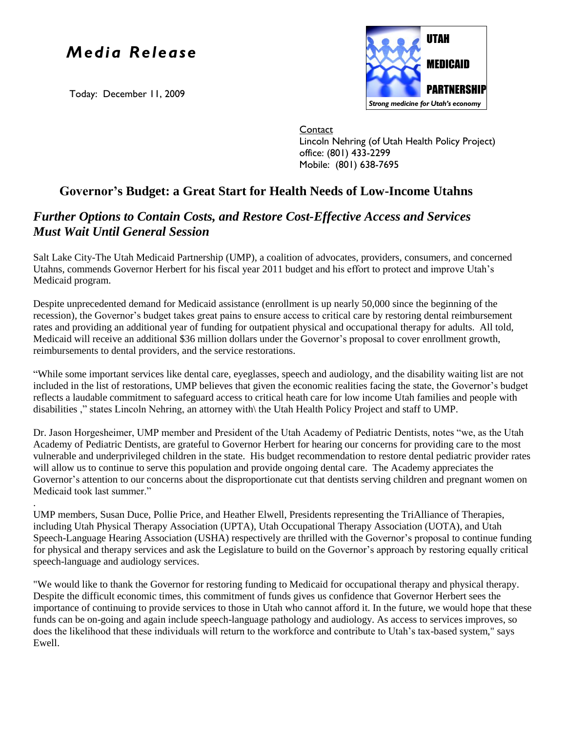## *Media Release*

Today: December 11, 2009



**Contact** Lincoln Nehring (of Utah Health Policy Project) office: (801) 433-2299 Mobile: (801) 638-7695

## **Governor's Budget: a Great Start for Health Needs of Low-Income Utahns**

## *Further Options to Contain Costs, and Restore Cost-Effective Access and Services Must Wait Until General Session*

Salt Lake City-The Utah Medicaid Partnership (UMP), a coalition of advocates, providers, consumers, and concerned Utahns, commends Governor Herbert for his fiscal year 2011 budget and his effort to protect and improve Utah's Medicaid program.

Despite unprecedented demand for Medicaid assistance (enrollment is up nearly 50,000 since the beginning of the recession), the Governor's budget takes great pains to ensure access to critical care by restoring dental reimbursement rates and providing an additional year of funding for outpatient physical and occupational therapy for adults. All told, Medicaid will receive an additional \$36 million dollars under the Governor's proposal to cover enrollment growth, reimbursements to dental providers, and the service restorations.

"While some important services like dental care, eyeglasses, speech and audiology, and the disability waiting list are not included in the list of restorations, UMP believes that given the economic realities facing the state, the Governor's budget reflects a laudable commitment to safeguard access to critical heath care for low income Utah families and people with disabilities ," states Lincoln Nehring, an attorney with\ the Utah Health Policy Project and staff to UMP.

Dr. Jason Horgesheimer, UMP member and President of the Utah Academy of Pediatric Dentists, notes "we, as the Utah Academy of Pediatric Dentists, are grateful to Governor Herbert for hearing our concerns for providing care to the most vulnerable and underprivileged children in the state. His budget recommendation to restore dental pediatric provider rates will allow us to continue to serve this population and provide ongoing dental care. The Academy appreciates the Governor's attention to our concerns about the disproportionate cut that dentists serving children and pregnant women on Medicaid took last summer."

. UMP members, Susan Duce, Pollie Price, and Heather Elwell, Presidents representing the TriAlliance of Therapies, including Utah Physical Therapy Association (UPTA), Utah Occupational Therapy Association (UOTA), and Utah Speech-Language Hearing Association (USHA) respectively are thrilled with the Governor's proposal to continue funding for physical and therapy services and ask the Legislature to build on the Governor's approach by restoring equally critical speech-language and audiology services.

"We would like to thank the Governor for restoring funding to Medicaid for occupational therapy and physical therapy. Despite the difficult economic times, this commitment of funds gives us confidence that Governor Herbert sees the importance of continuing to provide services to those in Utah who cannot afford it. In the future, we would hope that these funds can be on-going and again include speech-language pathology and audiology. As access to services improves, so does the likelihood that these individuals will return to the workforce and contribute to Utah's tax-based system," says Ewell.